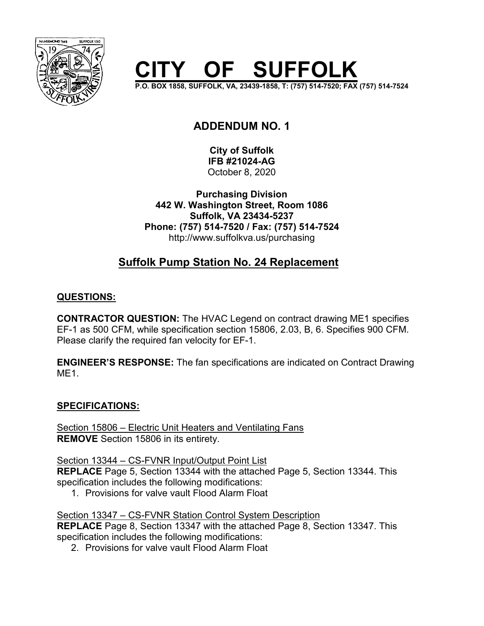

# **OF SUFFOLK**

**P.O. BOX 1858, SUFFOLK, VA, 23439-1858, T: (757) 514-7520; FAX (757) 514-7524**

# **ADDENDUM NO. 1**

**City of Suffolk IFB #21024-AG** October 8, 2020

**Purchasing Division 442 W. Washington Street, Room 1086 Suffolk, VA 23434-5237 Phone: (757) 514-7520 / Fax: (757) 514-7524** http://www.suffolkva.us/purchasing

# **Suffolk Pump Station No. 24 Replacement**

## **QUESTIONS:**

**CONTRACTOR QUESTION:** The HVAC Legend on contract drawing ME1 specifies EF-1 as 500 CFM, while specification section 15806, 2.03, B, 6. Specifies 900 CFM. Please clarify the required fan velocity for EF-1.

**ENGINEER'S RESPONSE:** The fan specifications are indicated on Contract Drawing ME1.

## **SPECIFICATIONS:**

Section 15806 – Electric Unit Heaters and Ventilating Fans **REMOVE** Section 15806 in its entirety.

Section 13344 – CS-FVNR Input/Output Point List **REPLACE** Page 5, Section 13344 with the attached Page 5, Section 13344. This specification includes the following modifications:

1. Provisions for valve vault Flood Alarm Float

Section 13347 – CS-FVNR Station Control System Description **REPLACE** Page 8, Section 13347 with the attached Page 8, Section 13347. This

specification includes the following modifications:

2. Provisions for valve vault Flood Alarm Float